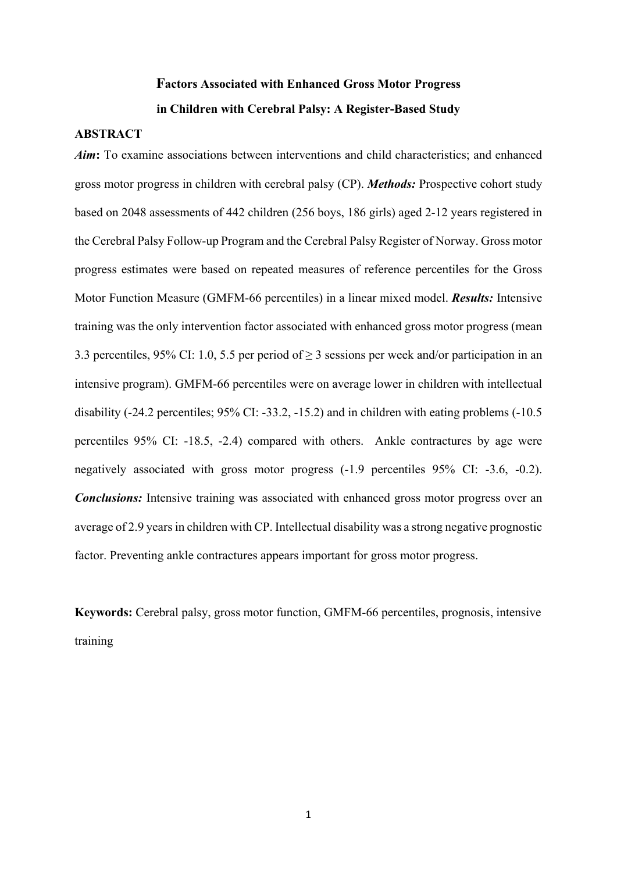# **Factors Associated with Enhanced Gross Motor Progress in Children with Cerebral Palsy: A Register-Based Study**

# **ABSTRACT**

*Aim***:** To examine associations between interventions and child characteristics; and enhanced gross motor progress in children with cerebral palsy (CP). *Methods:* Prospective cohort study based on 2048 assessments of 442 children (256 boys, 186 girls) aged 2-12 years registered in the Cerebral Palsy Follow-up Program and the Cerebral Palsy Register of Norway. Gross motor progress estimates were based on repeated measures of reference percentiles for the Gross Motor Function Measure (GMFM-66 percentiles) in a linear mixed model. *Results:* Intensive training was the only intervention factor associated with enhanced gross motor progress (mean 3.3 percentiles, 95% CI: 1.0, 5.5 per period of  $\geq$  3 sessions per week and/or participation in an intensive program). GMFM-66 percentiles were on average lower in children with intellectual disability (-24.2 percentiles; 95% CI: -33.2, -15.2) and in children with eating problems (-10.5 percentiles 95% CI: -18.5, -2.4) compared with others. Ankle contractures by age were negatively associated with gross motor progress (-1.9 percentiles 95% CI: -3.6, -0.2). *Conclusions:* Intensive training was associated with enhanced gross motor progress over an average of 2.9 years in children with CP. Intellectual disability was a strong negative prognostic factor. Preventing ankle contractures appears important for gross motor progress.

**Keywords:** Cerebral palsy, gross motor function, GMFM-66 percentiles, prognosis, intensive training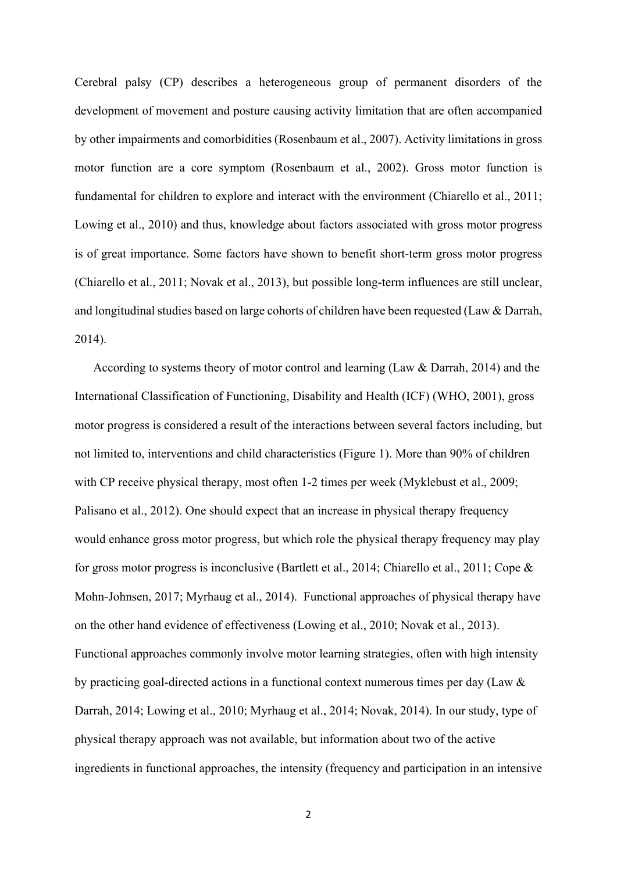Cerebral palsy (CP) describes a heterogeneous group of permanent disorders of the development of movement and posture causing activity limitation that are often accompanied by other impairments and comorbidities (Rosenbaum et al., 2007). Activity limitations in gross motor function are a core symptom (Rosenbaum et al., 2002). Gross motor function is fundamental for children to explore and interact with the environment (Chiarello et al., 2011; Lowing et al., 2010) and thus, knowledge about factors associated with gross motor progress is of great importance. Some factors have shown to benefit short-term gross motor progress (Chiarello et al., 2011; Novak et al., 2013), but possible long-term influences are still unclear, and longitudinal studies based on large cohorts of children have been requested (Law & Darrah, 2014).

According to systems theory of motor control and learning (Law & Darrah, 2014) and the International Classification of Functioning, Disability and Health (ICF) (WHO, 2001), gross motor progress is considered a result of the interactions between several factors including, but not limited to, interventions and child characteristics (Figure 1). More than 90% of children with CP receive physical therapy, most often 1-2 times per week (Myklebust et al., 2009; Palisano et al., 2012). One should expect that an increase in physical therapy frequency would enhance gross motor progress, but which role the physical therapy frequency may play for gross motor progress is inconclusive (Bartlett et al., 2014; Chiarello et al., 2011; Cope & Mohn-Johnsen, 2017; Myrhaug et al., 2014). Functional approaches of physical therapy have on the other hand evidence of effectiveness (Lowing et al., 2010; Novak et al., 2013). Functional approaches commonly involve motor learning strategies, often with high intensity by practicing goal-directed actions in a functional context numerous times per day (Law & Darrah, 2014; Lowing et al., 2010; Myrhaug et al., 2014; Novak, 2014). In our study, type of physical therapy approach was not available, but information about two of the active ingredients in functional approaches, the intensity (frequency and participation in an intensive

2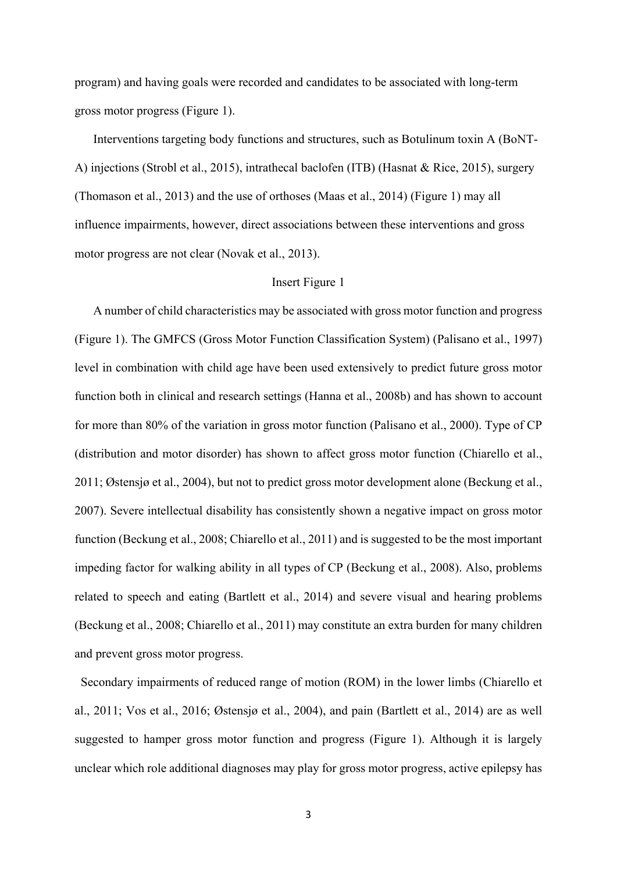program) and having goals were recorded and candidates to be associated with long-term gross motor progress (Figure 1).

Interventions targeting body functions and structures, such as Botulinum toxin A (BoNT-A) injections (Strobl et al., 2015), intrathecal baclofen (ITB) (Hasnat & Rice, 2015), surgery (Thomason et al., 2013) and the use of orthoses (Maas et al., 2014) (Figure 1) may all influence impairments, however, direct associations between these interventions and gross motor progress are not clear (Novak et al., 2013).

#### Insert Figure 1

A number of child characteristics may be associated with gross motor function and progress (Figure 1). The GMFCS (Gross Motor Function Classification System) (Palisano et al., 1997) level in combination with child age have been used extensively to predict future gross motor function both in clinical and research settings (Hanna et al., 2008b) and has shown to account for more than 80% of the variation in gross motor function (Palisano et al., 2000). Type of CP (distribution and motor disorder) has shown to affect gross motor function (Chiarello et al., 2011; Østensjø et al., 2004), but not to predict gross motor development alone (Beckung et al., 2007). Severe intellectual disability has consistently shown a negative impact on gross motor function (Beckung et al., 2008; Chiarello et al., 2011) and is suggested to be the most important impeding factor for walking ability in all types of CP (Beckung et al., 2008). Also, problems related to speech and eating (Bartlett et al., 2014) and severe visual and hearing problems (Beckung et al., 2008; Chiarello et al., 2011) may constitute an extra burden for many children and prevent gross motor progress.

 Secondary impairments of reduced range of motion (ROM) in the lower limbs (Chiarello et al., 2011; Vos et al., 2016; Østensjø et al., 2004), and pain (Bartlett et al., 2014) are as well suggested to hamper gross motor function and progress (Figure 1). Although it is largely unclear which role additional diagnoses may play for gross motor progress, active epilepsy has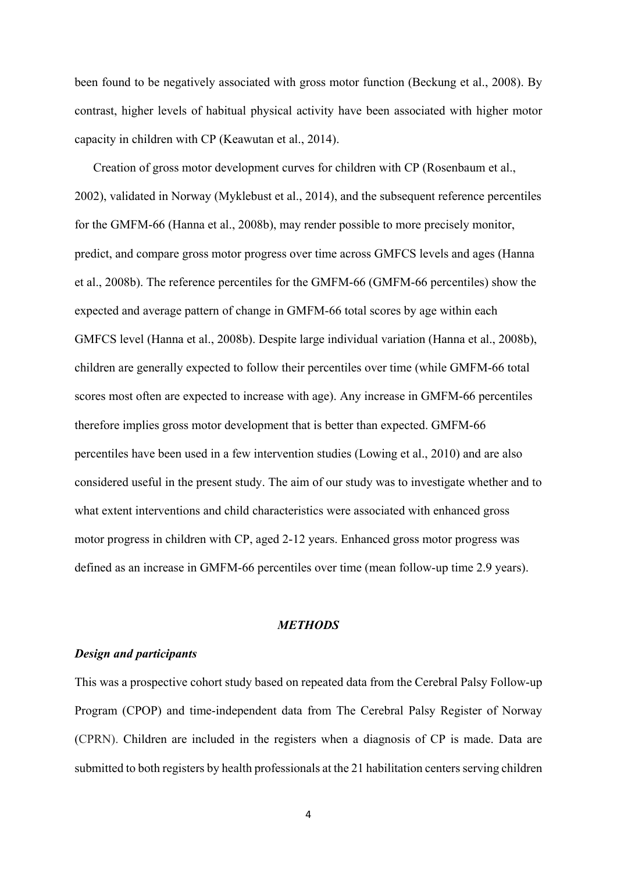been found to be negatively associated with gross motor function (Beckung et al., 2008). By contrast, higher levels of habitual physical activity have been associated with higher motor capacity in children with CP (Keawutan et al., 2014).

Creation of gross motor development curves for children with CP (Rosenbaum et al., 2002), validated in Norway (Myklebust et al., 2014), and the subsequent reference percentiles for the GMFM-66 (Hanna et al., 2008b), may render possible to more precisely monitor, predict, and compare gross motor progress over time across GMFCS levels and ages (Hanna et al., 2008b). The reference percentiles for the GMFM-66 (GMFM-66 percentiles) show the expected and average pattern of change in GMFM-66 total scores by age within each GMFCS level (Hanna et al., 2008b). Despite large individual variation (Hanna et al., 2008b), children are generally expected to follow their percentiles over time (while GMFM-66 total scores most often are expected to increase with age). Any increase in GMFM-66 percentiles therefore implies gross motor development that is better than expected. GMFM-66 percentiles have been used in a few intervention studies (Lowing et al., 2010) and are also considered useful in the present study. The aim of our study was to investigate whether and to what extent interventions and child characteristics were associated with enhanced gross motor progress in children with CP, aged 2-12 years. Enhanced gross motor progress was defined as an increase in GMFM-66 percentiles over time (mean follow-up time 2.9 years).

## *METHODS*

#### *Design and participants*

This was a prospective cohort study based on repeated data from the Cerebral Palsy Follow-up Program (CPOP) and time-independent data from The Cerebral Palsy Register of Norway (CPRN). Children are included in the registers when a diagnosis of CP is made. Data are submitted to both registers by health professionals at the 21 habilitation centers serving children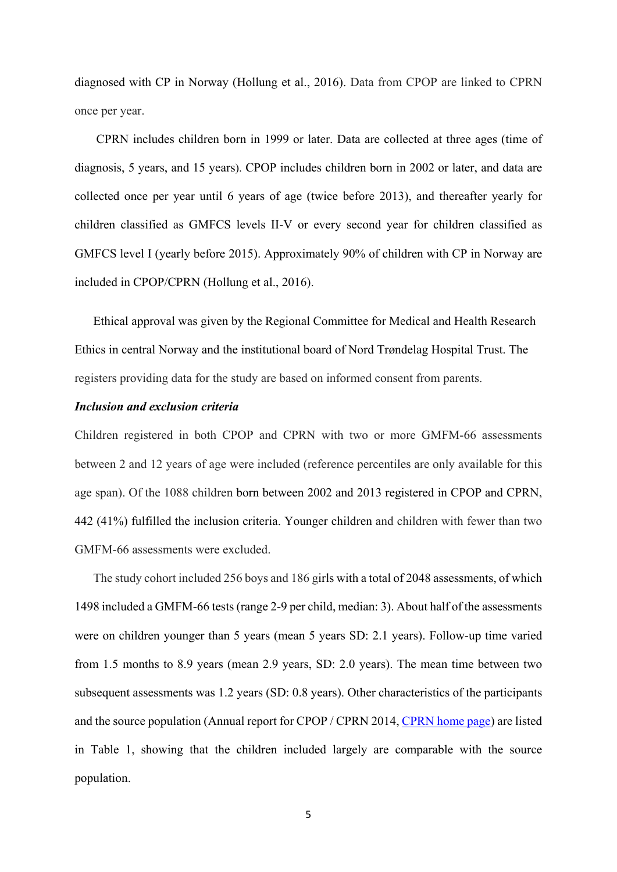diagnosed with CP in Norway (Hollung et al., 2016). Data from CPOP are linked to CPRN once per year.

CPRN includes children born in 1999 or later. Data are collected at three ages (time of diagnosis, 5 years, and 15 years). CPOP includes children born in 2002 or later, and data are collected once per year until 6 years of age (twice before 2013), and thereafter yearly for children classified as GMFCS levels II-V or every second year for children classified as GMFCS level I (yearly before 2015). Approximately 90% of children with CP in Norway are included in CPOP/CPRN (Hollung et al., 2016).

Ethical approval was given by the Regional Committee for Medical and Health Research Ethics in central Norway and the institutional board of Nord Trøndelag Hospital Trust. The registers providing data for the study are based on informed consent from parents.

# *Inclusion and exclusion criteria*

Children registered in both CPOP and CPRN with two or more GMFM-66 assessments between 2 and 12 years of age were included (reference percentiles are only available for this age span). Of the 1088 children born between 2002 and 2013 registered in CPOP and CPRN, 442 (41%) fulfilled the inclusion criteria. Younger children and children with fewer than two GMFM-66 assessments were excluded.

The study cohort included 256 boys and 186 girls with a total of 2048 assessments, of which 1498 included a GMFM-66 tests (range 2-9 per child, median: 3). About half of the assessments were on children younger than 5 years (mean 5 years SD: 2.1 years). Follow-up time varied from 1.5 months to 8.9 years (mean 2.9 years, SD: 2.0 years). The mean time between two subsequent assessments was 1.2 years (SD: 0.8 years). Other characteristics of the participants and the source population (Annual report for CPOP / CPRN 2014, [CPRN home page\)](https://www.siv.no/helsefaglig/cp-registeret) are listed in Table 1, showing that the children included largely are comparable with the source population.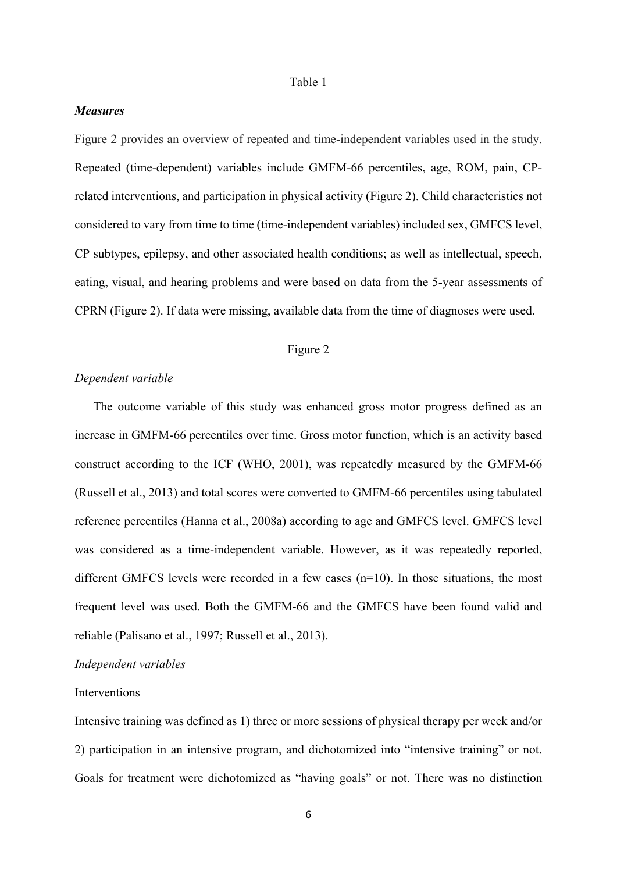#### Table 1

# *Measures*

Figure 2 provides an overview of repeated and time-independent variables used in the study. Repeated (time-dependent) variables include GMFM-66 percentiles, age, ROM, pain, CPrelated interventions, and participation in physical activity (Figure 2). Child characteristics not considered to vary from time to time (time-independent variables) included sex, GMFCS level, CP subtypes, epilepsy, and other associated health conditions; as well as intellectual, speech, eating, visual, and hearing problems and were based on data from the 5-year assessments of CPRN (Figure 2). If data were missing, available data from the time of diagnoses were used.

# Figure 2

## *Dependent variable*

The outcome variable of this study was enhanced gross motor progress defined as an increase in GMFM-66 percentiles over time. Gross motor function, which is an activity based construct according to the ICF (WHO, 2001), was repeatedly measured by the GMFM-66 (Russell et al., 2013) and total scores were converted to GMFM-66 percentiles using tabulated reference percentiles (Hanna et al., 2008a) according to age and GMFCS level. GMFCS level was considered as a time-independent variable. However, as it was repeatedly reported, different GMFCS levels were recorded in a few cases  $(n=10)$ . In those situations, the most frequent level was used. Both the GMFM-66 and the GMFCS have been found valid and reliable (Palisano et al., 1997; Russell et al., 2013).

#### *Independent variables*

#### Interventions

Intensive training was defined as 1) three or more sessions of physical therapy per week and/or 2) participation in an intensive program, and dichotomized into "intensive training" or not. Goals for treatment were dichotomized as "having goals" or not. There was no distinction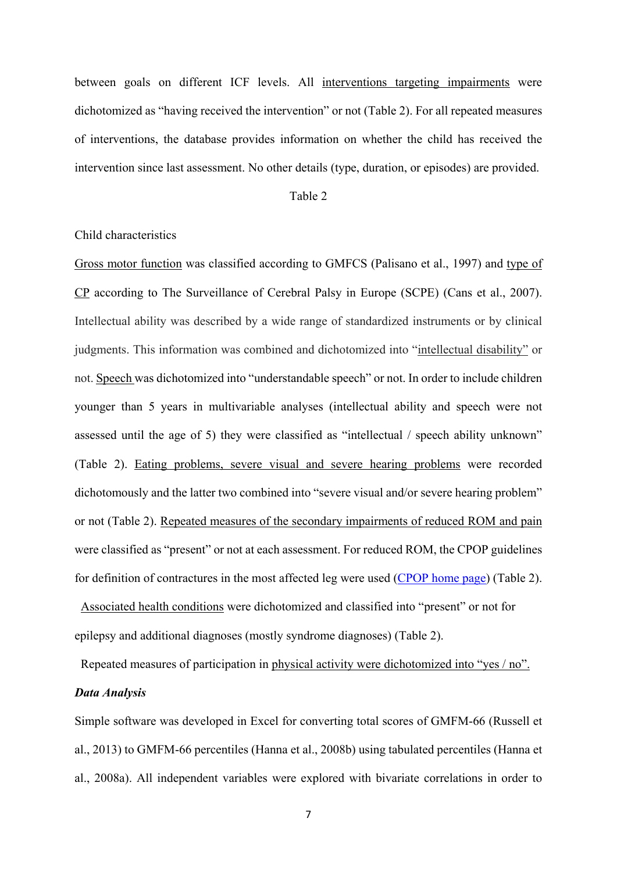between goals on different ICF levels. All interventions targeting impairments were dichotomized as "having received the intervention" or not (Table 2). For all repeated measures of interventions, the database provides information on whether the child has received the intervention since last assessment. No other details (type, duration, or episodes) are provided.

#### Table 2

#### Child characteristics

Gross motor function was classified according to GMFCS (Palisano et al., 1997) and type of CP according to The Surveillance of Cerebral Palsy in Europe (SCPE) (Cans et al., 2007). Intellectual ability was described by a wide range of standardized instruments or by clinical judgments. This information was combined and dichotomized into "intellectual disability" or not. Speech was dichotomized into "understandable speech" or not. In order to include children younger than 5 years in multivariable analyses (intellectual ability and speech were not assessed until the age of 5) they were classified as "intellectual / speech ability unknown" (Table 2). Eating problems, severe visual and severe hearing problems were recorded dichotomously and the latter two combined into "severe visual and/or severe hearing problem" or not (Table 2). Repeated measures of the secondary impairments of reduced ROM and pain were classified as "present" or not at each assessment. For reduced ROM, the CPOP guidelines for definition of contractures in the most affected leg were used [\(CPOP home page\)](http://www.oslo-universitetssykehus.no/omoss_/avdelinger_/cerebral-parese-oppfolgingsprogrammet_) (Table 2).

 Associated health conditions were dichotomized and classified into "present" or not for epilepsy and additional diagnoses (mostly syndrome diagnoses) (Table 2).

Repeated measures of participation in physical activity were dichotomized into "yes / no".

# *Data Analysis*

Simple software was developed in Excel for converting total scores of GMFM-66 (Russell et al., 2013) to GMFM-66 percentiles (Hanna et al., 2008b) using tabulated percentiles (Hanna et al., 2008a). All independent variables were explored with bivariate correlations in order to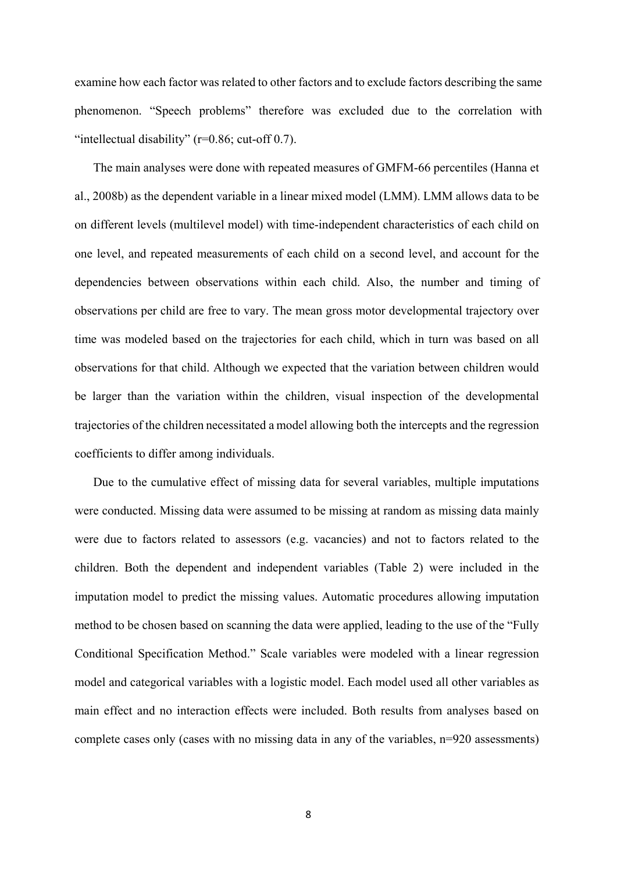examine how each factor was related to other factors and to exclude factors describing the same phenomenon. "Speech problems" therefore was excluded due to the correlation with "intellectual disability" ( $r=0.86$ ; cut-off 0.7).

The main analyses were done with repeated measures of GMFM-66 percentiles (Hanna et al., 2008b) as the dependent variable in a linear mixed model (LMM). LMM allows data to be on different levels (multilevel model) with time-independent characteristics of each child on one level, and repeated measurements of each child on a second level, and account for the dependencies between observations within each child. Also, the number and timing of observations per child are free to vary. The mean gross motor developmental trajectory over time was modeled based on the trajectories for each child, which in turn was based on all observations for that child. Although we expected that the variation between children would be larger than the variation within the children, visual inspection of the developmental trajectories of the children necessitated a model allowing both the intercepts and the regression coefficients to differ among individuals.

Due to the cumulative effect of missing data for several variables, multiple imputations were conducted. Missing data were assumed to be missing at random as missing data mainly were due to factors related to assessors (e.g. vacancies) and not to factors related to the children. Both the dependent and independent variables (Table 2) were included in the imputation model to predict the missing values. Automatic procedures allowing imputation method to be chosen based on scanning the data were applied, leading to the use of the "Fully Conditional Specification Method." Scale variables were modeled with a linear regression model and categorical variables with a logistic model. Each model used all other variables as main effect and no interaction effects were included. Both results from analyses based on complete cases only (cases with no missing data in any of the variables, n=920 assessments)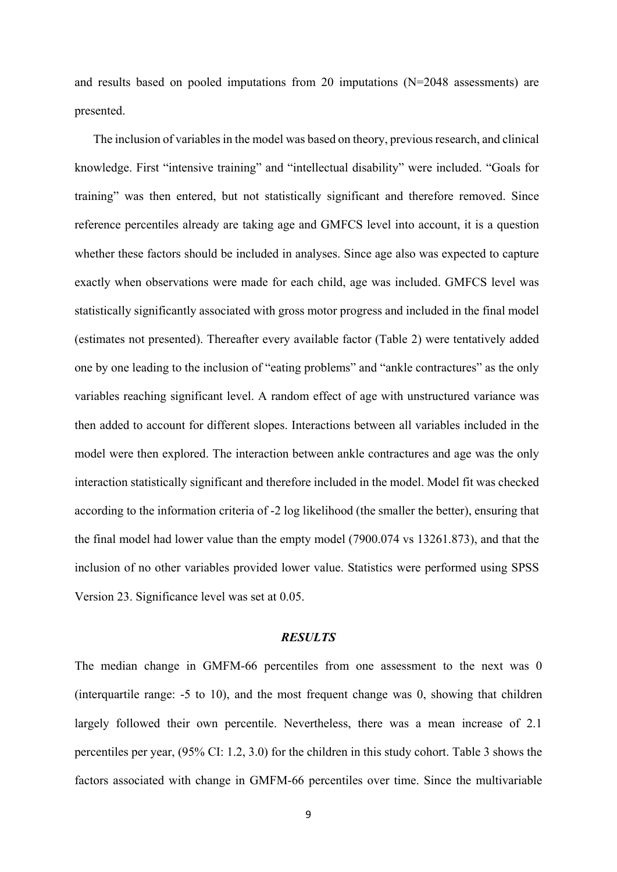and results based on pooled imputations from 20 imputations (N=2048 assessments) are presented.

The inclusion of variables in the model was based on theory, previous research, and clinical knowledge. First "intensive training" and "intellectual disability" were included. "Goals for training" was then entered, but not statistically significant and therefore removed. Since reference percentiles already are taking age and GMFCS level into account, it is a question whether these factors should be included in analyses. Since age also was expected to capture exactly when observations were made for each child, age was included. GMFCS level was statistically significantly associated with gross motor progress and included in the final model (estimates not presented). Thereafter every available factor (Table 2) were tentatively added one by one leading to the inclusion of "eating problems" and "ankle contractures" as the only variables reaching significant level. A random effect of age with unstructured variance was then added to account for different slopes. Interactions between all variables included in the model were then explored. The interaction between ankle contractures and age was the only interaction statistically significant and therefore included in the model. Model fit was checked according to the information criteria of -2 log likelihood (the smaller the better), ensuring that the final model had lower value than the empty model (7900.074 vs 13261.873), and that the inclusion of no other variables provided lower value. Statistics were performed using SPSS Version 23. Significance level was set at 0.05.

#### *RESULTS*

The median change in GMFM-66 percentiles from one assessment to the next was 0 (interquartile range: -5 to 10), and the most frequent change was 0, showing that children largely followed their own percentile. Nevertheless, there was a mean increase of 2.1 percentiles per year, (95% CI: 1.2, 3.0) for the children in this study cohort. Table 3 shows the factors associated with change in GMFM-66 percentiles over time. Since the multivariable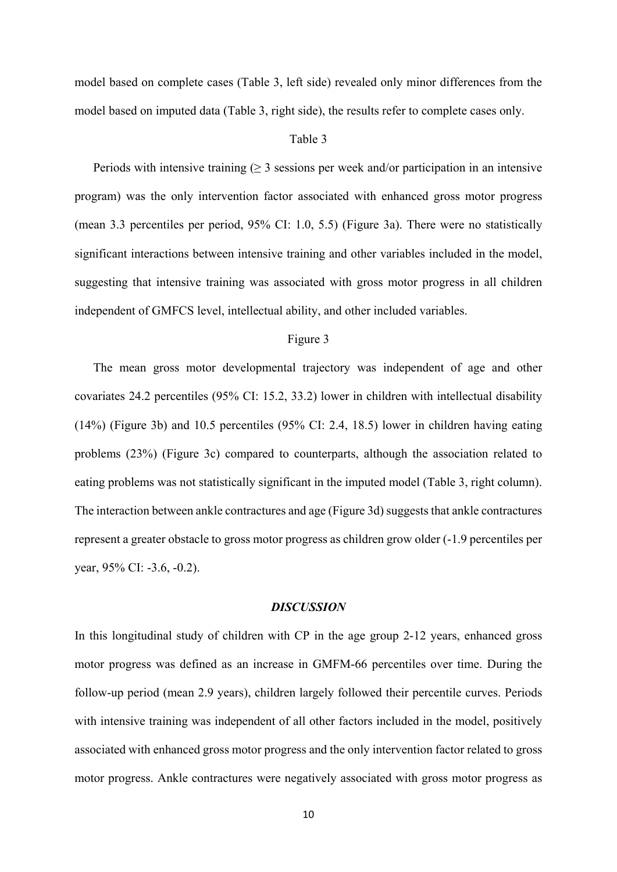model based on complete cases (Table 3, left side) revealed only minor differences from the model based on imputed data (Table 3, right side), the results refer to complete cases only.

#### Table 3

Periods with intensive training  $(\geq 3$  sessions per week and/or participation in an intensive program) was the only intervention factor associated with enhanced gross motor progress (mean 3.3 percentiles per period, 95% CI: 1.0, 5.5) (Figure 3a). There were no statistically significant interactions between intensive training and other variables included in the model, suggesting that intensive training was associated with gross motor progress in all children independent of GMFCS level, intellectual ability, and other included variables.

# Figure 3

The mean gross motor developmental trajectory was independent of age and other covariates 24.2 percentiles (95% CI: 15.2, 33.2) lower in children with intellectual disability (14%) (Figure 3b) and 10.5 percentiles (95% CI: 2.4, 18.5) lower in children having eating problems (23%) (Figure 3c) compared to counterparts, although the association related to eating problems was not statistically significant in the imputed model (Table 3, right column). The interaction between ankle contractures and age (Figure 3d) suggests that ankle contractures represent a greater obstacle to gross motor progress as children grow older (-1.9 percentiles per year, 95% CI: -3.6, -0.2).

#### *DISCUSSION*

In this longitudinal study of children with CP in the age group 2-12 years, enhanced gross motor progress was defined as an increase in GMFM-66 percentiles over time. During the follow-up period (mean 2.9 years), children largely followed their percentile curves. Periods with intensive training was independent of all other factors included in the model, positively associated with enhanced gross motor progress and the only intervention factor related to gross motor progress. Ankle contractures were negatively associated with gross motor progress as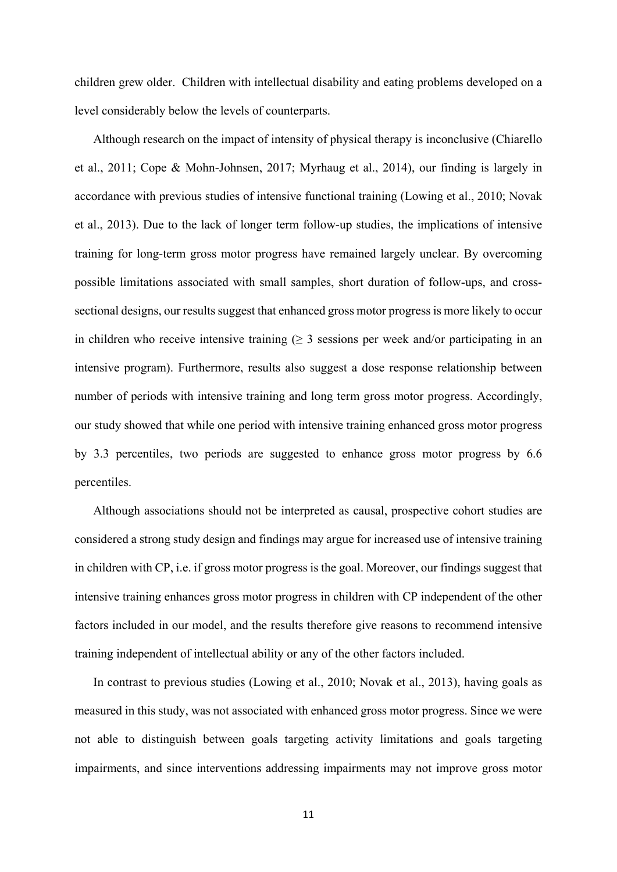children grew older. Children with intellectual disability and eating problems developed on a level considerably below the levels of counterparts.

Although research on the impact of intensity of physical therapy is inconclusive (Chiarello et al., 2011; Cope & Mohn-Johnsen, 2017; Myrhaug et al., 2014), our finding is largely in accordance with previous studies of intensive functional training (Lowing et al., 2010; Novak et al., 2013). Due to the lack of longer term follow-up studies, the implications of intensive training for long-term gross motor progress have remained largely unclear. By overcoming possible limitations associated with small samples, short duration of follow-ups, and crosssectional designs, our results suggest that enhanced gross motor progress is more likely to occur in children who receive intensive training ( $\geq$  3 sessions per week and/or participating in an intensive program). Furthermore, results also suggest a dose response relationship between number of periods with intensive training and long term gross motor progress. Accordingly, our study showed that while one period with intensive training enhanced gross motor progress by 3.3 percentiles, two periods are suggested to enhance gross motor progress by 6.6 percentiles.

Although associations should not be interpreted as causal, prospective cohort studies are considered a strong study design and findings may argue for increased use of intensive training in children with CP, i.e. if gross motor progress is the goal. Moreover, our findings suggest that intensive training enhances gross motor progress in children with CP independent of the other factors included in our model, and the results therefore give reasons to recommend intensive training independent of intellectual ability or any of the other factors included.

In contrast to previous studies (Lowing et al., 2010; Novak et al., 2013), having goals as measured in this study, was not associated with enhanced gross motor progress. Since we were not able to distinguish between goals targeting activity limitations and goals targeting impairments, and since interventions addressing impairments may not improve gross motor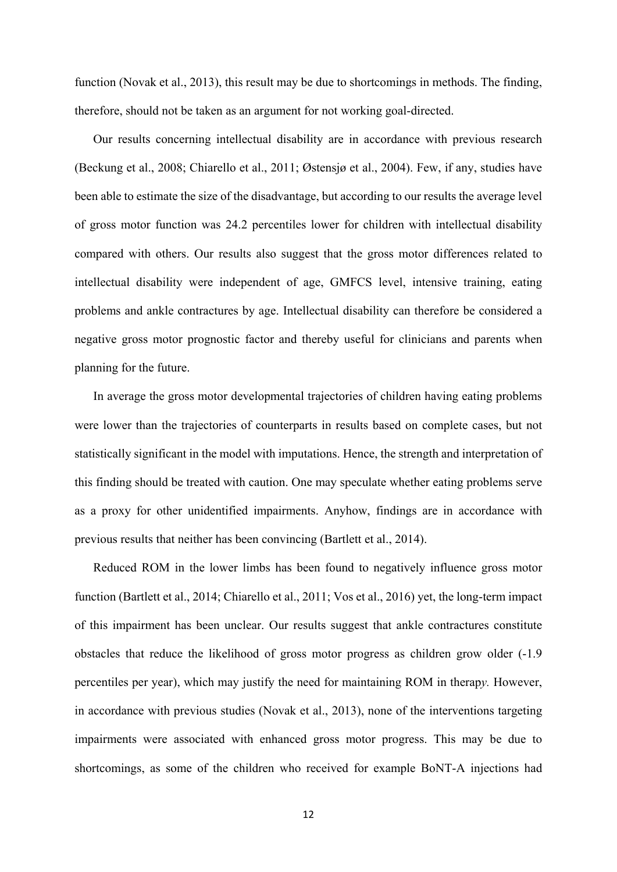function (Novak et al., 2013), this result may be due to shortcomings in methods. The finding, therefore, should not be taken as an argument for not working goal-directed.

Our results concerning intellectual disability are in accordance with previous research (Beckung et al., 2008; Chiarello et al., 2011; Østensjø et al., 2004). Few, if any, studies have been able to estimate the size of the disadvantage, but according to our results the average level of gross motor function was 24.2 percentiles lower for children with intellectual disability compared with others. Our results also suggest that the gross motor differences related to intellectual disability were independent of age, GMFCS level, intensive training, eating problems and ankle contractures by age. Intellectual disability can therefore be considered a negative gross motor prognostic factor and thereby useful for clinicians and parents when planning for the future.

In average the gross motor developmental trajectories of children having eating problems were lower than the trajectories of counterparts in results based on complete cases, but not statistically significant in the model with imputations. Hence, the strength and interpretation of this finding should be treated with caution. One may speculate whether eating problems serve as a proxy for other unidentified impairments. Anyhow, findings are in accordance with previous results that neither has been convincing (Bartlett et al., 2014).

Reduced ROM in the lower limbs has been found to negatively influence gross motor function (Bartlett et al., 2014; Chiarello et al., 2011; Vos et al., 2016) yet, the long-term impact of this impairment has been unclear. Our results suggest that ankle contractures constitute obstacles that reduce the likelihood of gross motor progress as children grow older (-1.9 percentiles per year), which may justify the need for maintaining ROM in therap*y.* However, in accordance with previous studies (Novak et al., 2013), none of the interventions targeting impairments were associated with enhanced gross motor progress. This may be due to shortcomings, as some of the children who received for example BoNT-A injections had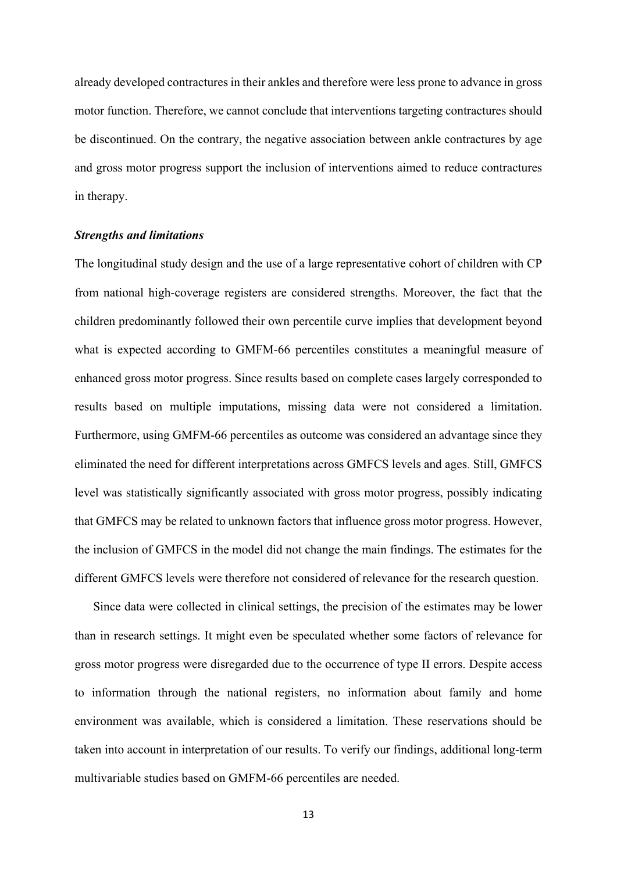already developed contractures in their ankles and therefore were less prone to advance in gross motor function. Therefore, we cannot conclude that interventions targeting contractures should be discontinued. On the contrary, the negative association between ankle contractures by age and gross motor progress support the inclusion of interventions aimed to reduce contractures in therapy.

#### *Strengths and limitations*

The longitudinal study design and the use of a large representative cohort of children with CP from national high-coverage registers are considered strengths. Moreover, the fact that the children predominantly followed their own percentile curve implies that development beyond what is expected according to GMFM-66 percentiles constitutes a meaningful measure of enhanced gross motor progress. Since results based on complete cases largely corresponded to results based on multiple imputations, missing data were not considered a limitation. Furthermore, using GMFM-66 percentiles as outcome was considered an advantage since they eliminated the need for different interpretations across GMFCS levels and ages. Still, GMFCS level was statistically significantly associated with gross motor progress, possibly indicating that GMFCS may be related to unknown factors that influence gross motor progress. However, the inclusion of GMFCS in the model did not change the main findings. The estimates for the different GMFCS levels were therefore not considered of relevance for the research question.

Since data were collected in clinical settings, the precision of the estimates may be lower than in research settings. It might even be speculated whether some factors of relevance for gross motor progress were disregarded due to the occurrence of type II errors. Despite access to information through the national registers, no information about family and home environment was available, which is considered a limitation. These reservations should be taken into account in interpretation of our results. To verify our findings, additional long-term multivariable studies based on GMFM-66 percentiles are needed.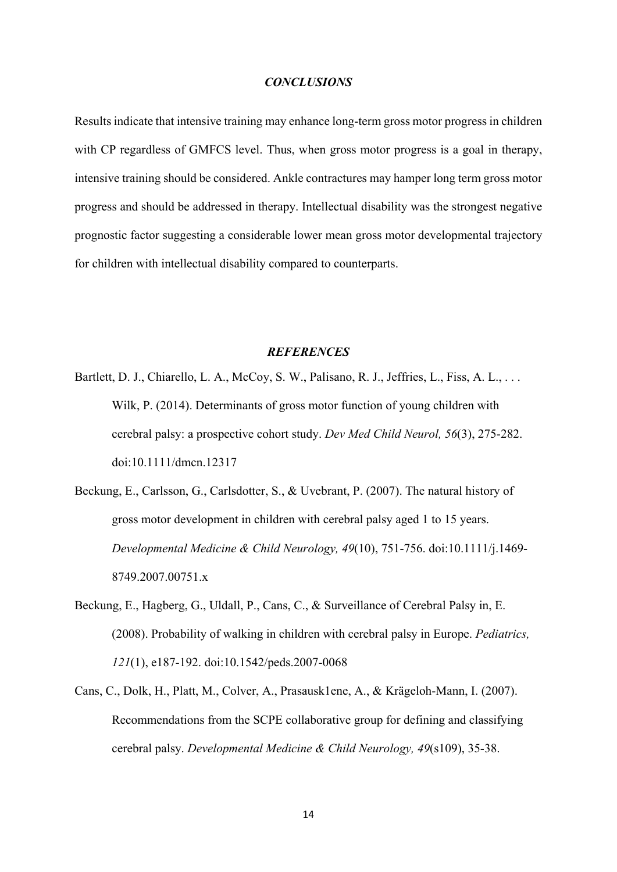#### *CONCLUSIONS*

Results indicate that intensive training may enhance long-term gross motor progress in children with CP regardless of GMFCS level. Thus, when gross motor progress is a goal in therapy, intensive training should be considered. Ankle contractures may hamper long term gross motor progress and should be addressed in therapy. Intellectual disability was the strongest negative prognostic factor suggesting a considerable lower mean gross motor developmental trajectory for children with intellectual disability compared to counterparts.

#### *REFERENCES*

- Bartlett, D. J., Chiarello, L. A., McCoy, S. W., Palisano, R. J., Jeffries, L., Fiss, A. L., . . . Wilk, P. (2014). Determinants of gross motor function of young children with cerebral palsy: a prospective cohort study. *Dev Med Child Neurol, 56*(3), 275-282. doi:10.1111/dmcn.12317
- Beckung, E., Carlsson, G., Carlsdotter, S., & Uvebrant, P. (2007). The natural history of gross motor development in children with cerebral palsy aged 1 to 15 years. *Developmental Medicine & Child Neurology, 49*(10), 751-756. doi:10.1111/j.1469- 8749.2007.00751.x
- Beckung, E., Hagberg, G., Uldall, P., Cans, C., & Surveillance of Cerebral Palsy in, E. (2008). Probability of walking in children with cerebral palsy in Europe. *Pediatrics, 121*(1), e187-192. doi:10.1542/peds.2007-0068
- Cans, C., Dolk, H., Platt, M., Colver, A., Prasausk1ene, A., & Krägeloh-Mann, I. (2007). Recommendations from the SCPE collaborative group for defining and classifying cerebral palsy. *Developmental Medicine & Child Neurology, 49*(s109), 35-38.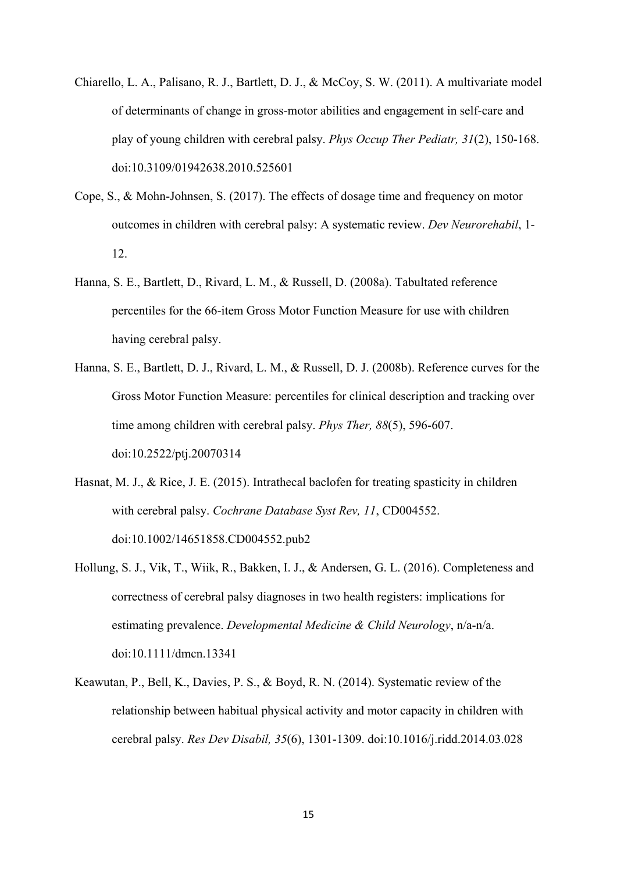- Chiarello, L. A., Palisano, R. J., Bartlett, D. J., & McCoy, S. W. (2011). A multivariate model of determinants of change in gross-motor abilities and engagement in self-care and play of young children with cerebral palsy. *Phys Occup Ther Pediatr, 31*(2), 150-168. doi:10.3109/01942638.2010.525601
- Cope, S., & Mohn-Johnsen, S. (2017). The effects of dosage time and frequency on motor outcomes in children with cerebral palsy: A systematic review. *Dev Neurorehabil*, 1- 12.
- Hanna, S. E., Bartlett, D., Rivard, L. M., & Russell, D. (2008a). Tabultated reference percentiles for the 66-item Gross Motor Function Measure for use with children having cerebral palsy.
- Hanna, S. E., Bartlett, D. J., Rivard, L. M., & Russell, D. J. (2008b). Reference curves for the Gross Motor Function Measure: percentiles for clinical description and tracking over time among children with cerebral palsy. *Phys Ther, 88*(5), 596-607. doi:10.2522/ptj.20070314
- Hasnat, M. J., & Rice, J. E. (2015). Intrathecal baclofen for treating spasticity in children with cerebral palsy. *Cochrane Database Syst Rev, 11*, CD004552. doi:10.1002/14651858.CD004552.pub2
- Hollung, S. J., Vik, T., Wiik, R., Bakken, I. J., & Andersen, G. L. (2016). Completeness and correctness of cerebral palsy diagnoses in two health registers: implications for estimating prevalence. *Developmental Medicine & Child Neurology*, n/a-n/a. doi:10.1111/dmcn.13341
- Keawutan, P., Bell, K., Davies, P. S., & Boyd, R. N. (2014). Systematic review of the relationship between habitual physical activity and motor capacity in children with cerebral palsy. *Res Dev Disabil, 35*(6), 1301-1309. doi:10.1016/j.ridd.2014.03.028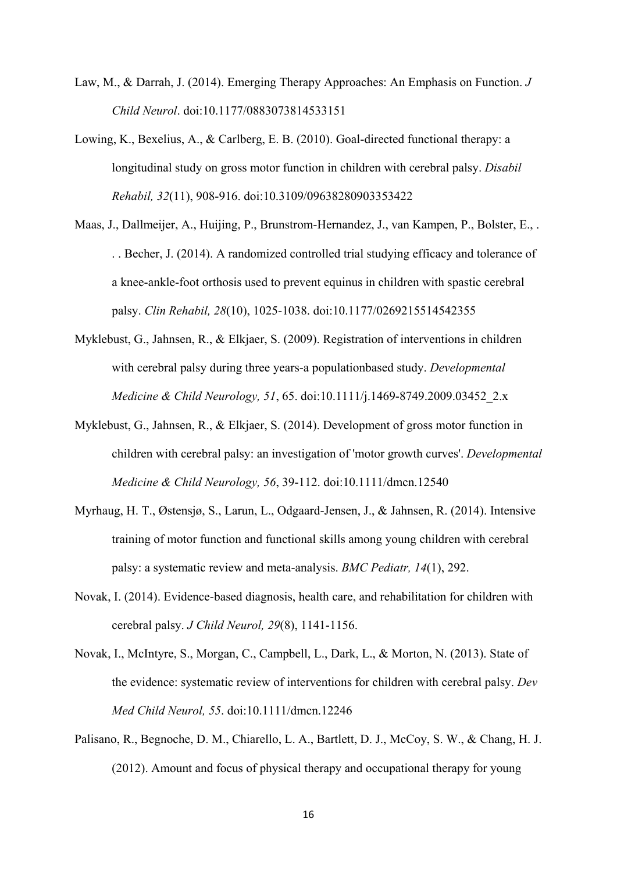- Law, M., & Darrah, J. (2014). Emerging Therapy Approaches: An Emphasis on Function. *J Child Neurol*. doi:10.1177/0883073814533151
- Lowing, K., Bexelius, A., & Carlberg, E. B. (2010). Goal-directed functional therapy: a longitudinal study on gross motor function in children with cerebral palsy. *Disabil Rehabil, 32*(11), 908-916. doi:10.3109/09638280903353422
- Maas, J., Dallmeijer, A., Huijing, P., Brunstrom-Hernandez, J., van Kampen, P., Bolster, E., . . . Becher, J. (2014). A randomized controlled trial studying efficacy and tolerance of a knee-ankle-foot orthosis used to prevent equinus in children with spastic cerebral palsy. *Clin Rehabil, 28*(10), 1025-1038. doi:10.1177/0269215514542355
- Myklebust, G., Jahnsen, R., & Elkjaer, S. (2009). Registration of interventions in children with cerebral palsy during three years-a populationbased study. *Developmental Medicine & Child Neurology, 51*, 65. doi:10.1111/j.1469-8749.2009.03452\_2.x
- Myklebust, G., Jahnsen, R., & Elkjaer, S. (2014). Development of gross motor function in children with cerebral palsy: an investigation of 'motor growth curves'. *Developmental Medicine & Child Neurology, 56*, 39-112. doi:10.1111/dmcn.12540
- Myrhaug, H. T., Østensjø, S., Larun, L., Odgaard-Jensen, J., & Jahnsen, R. (2014). Intensive training of motor function and functional skills among young children with cerebral palsy: a systematic review and meta-analysis. *BMC Pediatr, 14*(1), 292.
- Novak, I. (2014). Evidence-based diagnosis, health care, and rehabilitation for children with cerebral palsy. *J Child Neurol, 29*(8), 1141-1156.
- Novak, I., McIntyre, S., Morgan, C., Campbell, L., Dark, L., & Morton, N. (2013). State of the evidence: systematic review of interventions for children with cerebral palsy. *Dev Med Child Neurol, 55*. doi:10.1111/dmcn.12246
- Palisano, R., Begnoche, D. M., Chiarello, L. A., Bartlett, D. J., McCoy, S. W., & Chang, H. J. (2012). Amount and focus of physical therapy and occupational therapy for young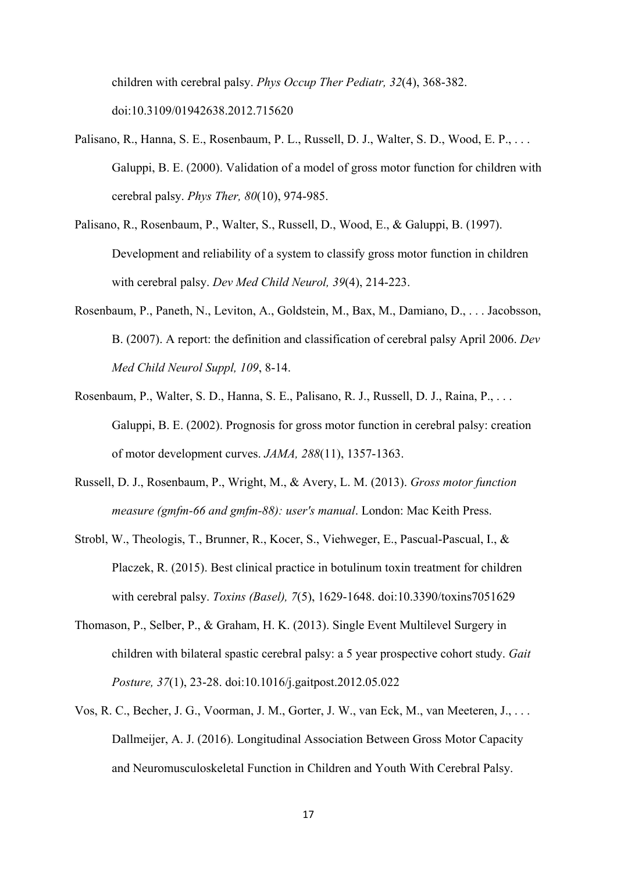children with cerebral palsy. *Phys Occup Ther Pediatr, 32*(4), 368-382. doi:10.3109/01942638.2012.715620

- Palisano, R., Hanna, S. E., Rosenbaum, P. L., Russell, D. J., Walter, S. D., Wood, E. P., . . . Galuppi, B. E. (2000). Validation of a model of gross motor function for children with cerebral palsy. *Phys Ther, 80*(10), 974-985.
- Palisano, R., Rosenbaum, P., Walter, S., Russell, D., Wood, E., & Galuppi, B. (1997). Development and reliability of a system to classify gross motor function in children with cerebral palsy. *Dev Med Child Neurol, 39*(4), 214-223.
- Rosenbaum, P., Paneth, N., Leviton, A., Goldstein, M., Bax, M., Damiano, D., . . . Jacobsson, B. (2007). A report: the definition and classification of cerebral palsy April 2006. *Dev Med Child Neurol Suppl, 109*, 8-14.
- Rosenbaum, P., Walter, S. D., Hanna, S. E., Palisano, R. J., Russell, D. J., Raina, P., . . . Galuppi, B. E. (2002). Prognosis for gross motor function in cerebral palsy: creation of motor development curves. *JAMA, 288*(11), 1357-1363.
- Russell, D. J., Rosenbaum, P., Wright, M., & Avery, L. M. (2013). *Gross motor function measure (gmfm-66 and gmfm-88): user's manual*. London: Mac Keith Press.
- Strobl, W., Theologis, T., Brunner, R., Kocer, S., Viehweger, E., Pascual-Pascual, I., & Placzek, R. (2015). Best clinical practice in botulinum toxin treatment for children with cerebral palsy. *Toxins (Basel), 7*(5), 1629-1648. doi:10.3390/toxins7051629
- Thomason, P., Selber, P., & Graham, H. K. (2013). Single Event Multilevel Surgery in children with bilateral spastic cerebral palsy: a 5 year prospective cohort study. *Gait Posture, 37*(1), 23-28. doi:10.1016/j.gaitpost.2012.05.022
- Vos, R. C., Becher, J. G., Voorman, J. M., Gorter, J. W., van Eck, M., van Meeteren, J., . . . Dallmeijer, A. J. (2016). Longitudinal Association Between Gross Motor Capacity and Neuromusculoskeletal Function in Children and Youth With Cerebral Palsy.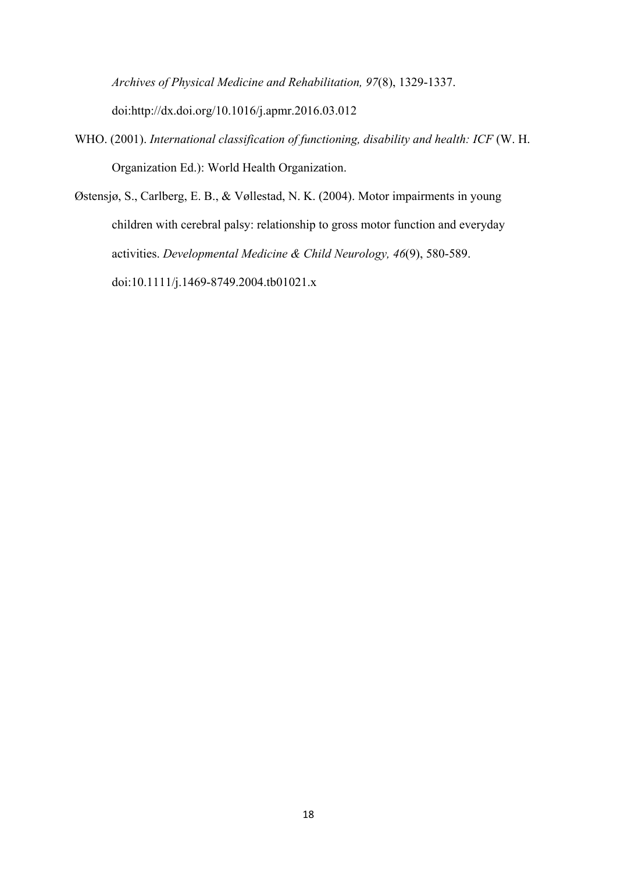*Archives of Physical Medicine and Rehabilitation, 97*(8), 1329-1337. doi:http://dx.doi.org/10.1016/j.apmr.2016.03.012

- WHO. (2001). *International classification of functioning, disability and health: ICF* (W. H. Organization Ed.): World Health Organization.
- Østensjø, S., Carlberg, E. B., & Vøllestad, N. K. (2004). Motor impairments in young children with cerebral palsy: relationship to gross motor function and everyday activities. *Developmental Medicine & Child Neurology, 46*(9), 580-589. doi:10.1111/j.1469-8749.2004.tb01021.x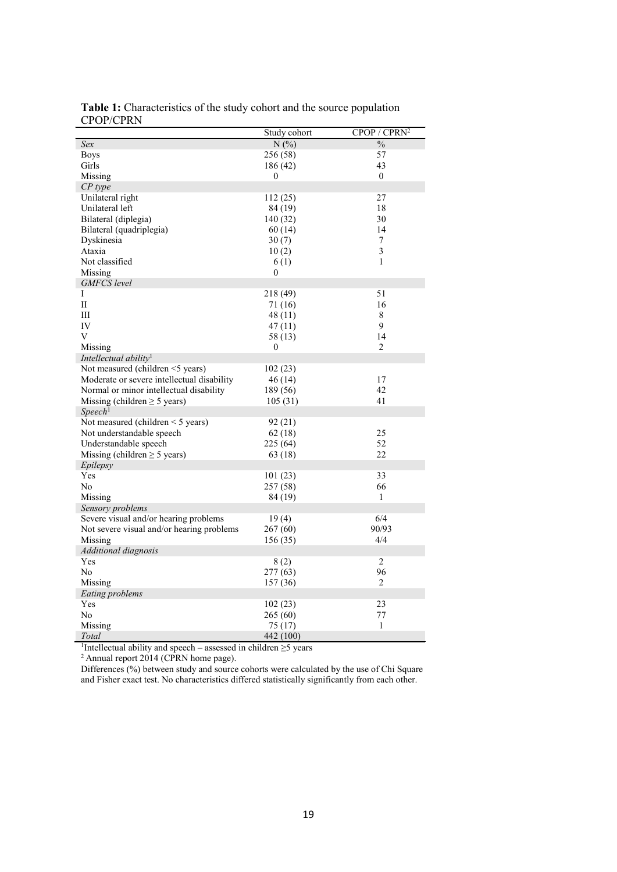|                                            | Study cohort | CPOP / CPRN <sup>2</sup> |
|--------------------------------------------|--------------|--------------------------|
| Sex                                        | N(%)         | $\frac{0}{0}$            |
| <b>Boys</b>                                | 256 (58)     | 57                       |
| Girls                                      | 186 (42)     | 43                       |
| Missing                                    | $\theta$     | $\overline{0}$           |
| $CP$ type                                  |              |                          |
| Unilateral right                           | 112(25)      | 27                       |
| Unilateral left                            | 84 (19)      | 18                       |
| Bilateral (diplegia)                       | 140 (32)     | 30                       |
| Bilateral (quadriplegia)                   | 60 (14)      | 14                       |
| Dyskinesia                                 | 30(7)        | 7                        |
| Ataxia                                     | 10(2)        | $\overline{3}$           |
| Not classified                             | 6(1)         | $\mathbf{1}$             |
| Missing                                    | $\mathbf{0}$ |                          |
| <b>GMFCS</b> level                         |              |                          |
| Ι                                          | 218 (49)     | 51                       |
| $\mathbf{I}$                               | 71 (16)      | 16                       |
| Ш                                          | 48(11)       | 8                        |
| IV                                         | 47(11)       | 9                        |
| V                                          | 58 (13)      | 14                       |
| Missing                                    | $\mathbf{0}$ | $\overline{2}$           |
| Intellectual ability <sup>1</sup>          |              |                          |
| Not measured (children <5 years)           | 102 (23)     |                          |
| Moderate or severe intellectual disability | 46(14)       | 17                       |
| Normal or minor intellectual disability    | 189 (56)     | 42                       |
| Missing (children $\geq$ 5 years)          | 105(31)      | 41                       |
| Speech <sup>1</sup>                        |              |                          |
| Not measured (children $\leq$ 5 years)     | 92(21)       |                          |
| Not understandable speech                  | 62(18)       | 25                       |
| Understandable speech                      | 225 (64)     | 52                       |
| Missing (children $\geq$ 5 years)          | 63 (18)      | 22                       |
| Epilepsy                                   |              |                          |
| Yes                                        | 101(23)      | 33                       |
| No                                         | 257 (58)     | 66                       |
| Missing                                    | 84 (19)      | $\mathbf{1}$             |
| Sensory problems                           |              |                          |
| Severe visual and/or hearing problems      | 19(4)        | 6/4                      |
| Not severe visual and/or hearing problems  | 267 (60)     | 90/93                    |
| Missing                                    | 156 (35)     | 4/4                      |
| Additional diagnosis                       |              |                          |
| Yes                                        | 8(2)         | 2                        |
| No                                         | 277(63)      | 96                       |
| Missing                                    | 157 (36)     | $\overline{2}$           |
| Eating problems                            |              |                          |
| Yes                                        | 102 (23)     | 23                       |
| No                                         | 265(60)      | 77                       |
| Missing                                    | 75(17)       | $\mathbf{1}$             |
| Total                                      | 442 (100)    |                          |

**Table 1:** Characteristics of the study cohort and the source population CPOP/CPRN

*Total* 442 (100) 1 Intellectual ability and speech – assessed in children ≥5 years 2 Annual report 2014 (CPRN home page).

Differences (%) between study and source cohorts were calculated by the use of Chi Square and Fisher exact test. No characteristics differed statistically significantly from each other.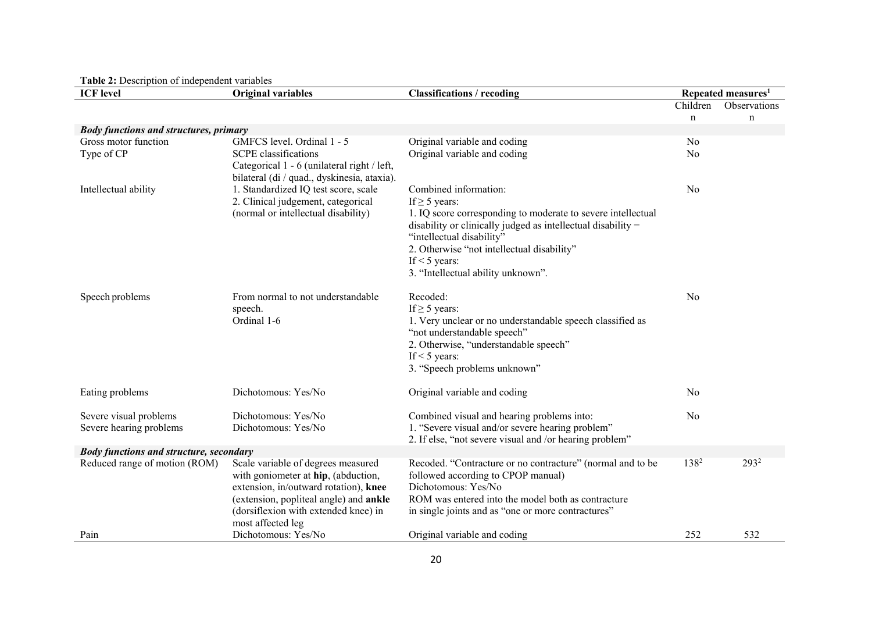| <b>ICF</b> level                                  | <b>Original variables</b>                                                                                                 | <b>Classifications / recoding</b>                                                              | Repeated measures <sup>1</sup> |              |  |
|---------------------------------------------------|---------------------------------------------------------------------------------------------------------------------------|------------------------------------------------------------------------------------------------|--------------------------------|--------------|--|
|                                                   |                                                                                                                           |                                                                                                | Children                       | Observations |  |
|                                                   |                                                                                                                           |                                                                                                | $\mathbf n$                    | $\mathbf n$  |  |
| <b>Body functions and structures, primary</b>     |                                                                                                                           |                                                                                                |                                |              |  |
| Gross motor function                              | GMFCS level. Ordinal 1 - 5                                                                                                | Original variable and coding                                                                   | No                             |              |  |
| Type of CP                                        | <b>SCPE</b> classifications<br>Categorical 1 - 6 (unilateral right / left,<br>bilateral (di / quad., dyskinesia, ataxia). | Original variable and coding                                                                   | No                             |              |  |
| Intellectual ability                              | 1. Standardized IQ test score, scale                                                                                      | Combined information:                                                                          | No                             |              |  |
|                                                   | 2. Clinical judgement, categorical                                                                                        | If $\geq$ 5 years:                                                                             |                                |              |  |
|                                                   | (normal or intellectual disability)                                                                                       | 1. IQ score corresponding to moderate to severe intellectual                                   |                                |              |  |
|                                                   |                                                                                                                           | disability or clinically judged as intellectual disability $=$                                 |                                |              |  |
|                                                   |                                                                                                                           | "intellectual disability"<br>2. Otherwise "not intellectual disability"                        |                                |              |  |
|                                                   |                                                                                                                           | If $\leq$ 5 years:                                                                             |                                |              |  |
|                                                   |                                                                                                                           | 3. "Intellectual ability unknown".                                                             |                                |              |  |
| Speech problems                                   | From normal to not understandable                                                                                         | Recoded:                                                                                       | No                             |              |  |
|                                                   | speech.                                                                                                                   | If $\geq$ 5 years:                                                                             |                                |              |  |
|                                                   | Ordinal 1-6                                                                                                               | 1. Very unclear or no understandable speech classified as                                      |                                |              |  |
|                                                   |                                                                                                                           | "not understandable speech"<br>2. Otherwise, "understandable speech"                           |                                |              |  |
|                                                   |                                                                                                                           | If $<$ 5 years:                                                                                |                                |              |  |
|                                                   |                                                                                                                           | 3. "Speech problems unknown"                                                                   |                                |              |  |
| Eating problems                                   | Dichotomous: Yes/No                                                                                                       | Original variable and coding                                                                   | No                             |              |  |
|                                                   |                                                                                                                           |                                                                                                |                                |              |  |
| Severe visual problems<br>Severe hearing problems | Dichotomous: Yes/No<br>Dichotomous: Yes/No                                                                                | Combined visual and hearing problems into:<br>1. "Severe visual and/or severe hearing problem" | No                             |              |  |
|                                                   |                                                                                                                           | 2. If else, "not severe visual and /or hearing problem"                                        |                                |              |  |
| <b>Body functions and structure, secondary</b>    |                                                                                                                           |                                                                                                |                                |              |  |
| Reduced range of motion (ROM)                     | Scale variable of degrees measured                                                                                        | Recoded. "Contracture or no contracture" (normal and to be                                     | 138 <sup>2</sup>               | $293^2$      |  |
|                                                   | with goniometer at hip, (abduction,                                                                                       | followed according to CPOP manual)                                                             |                                |              |  |
|                                                   | extension, in/outward rotation), knee                                                                                     | Dichotomous: Yes/No                                                                            |                                |              |  |
|                                                   | (extension, popliteal angle) and ankle                                                                                    | ROM was entered into the model both as contracture                                             |                                |              |  |
|                                                   | (dorsiflexion with extended knee) in                                                                                      | in single joints and as "one or more contractures"                                             |                                |              |  |
| Pain                                              | most affected leg<br>Dichotomous: Yes/No                                                                                  | Original variable and coding                                                                   | 252                            | 532          |  |

**Table 2:** Description of independent variables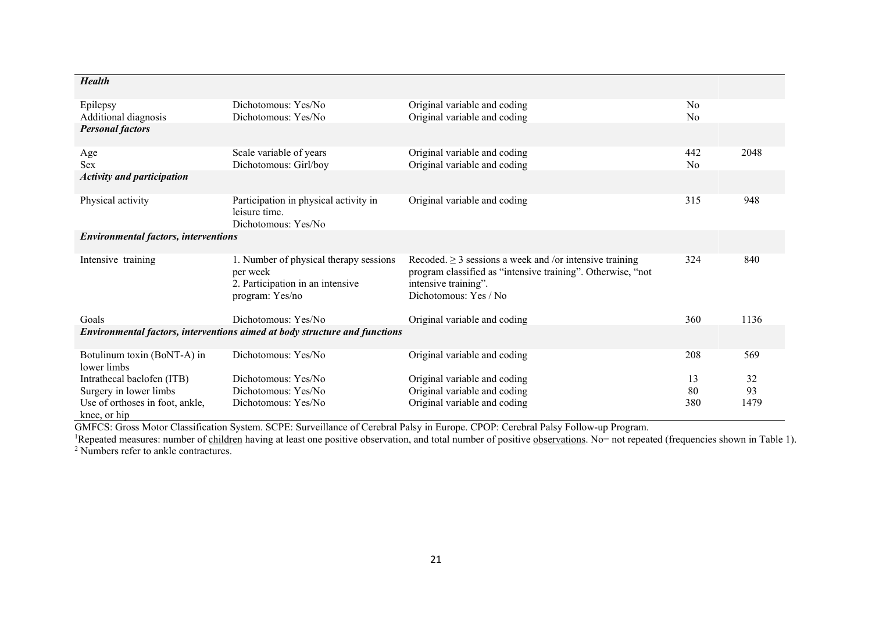| <b>Health</b>                                               |                                                                                                           |                                                                                                                                                                              |                                  |      |
|-------------------------------------------------------------|-----------------------------------------------------------------------------------------------------------|------------------------------------------------------------------------------------------------------------------------------------------------------------------------------|----------------------------------|------|
| Epilepsy<br>Additional diagnosis<br><b>Personal factors</b> | Dichotomous: Yes/No<br>Dichotomous: Yes/No                                                                | Original variable and coding<br>Original variable and coding                                                                                                                 | N <sub>o</sub><br>N <sub>0</sub> |      |
| Age<br>Sex                                                  | Scale variable of years<br>Dichotomous: Girl/boy                                                          | Original variable and coding<br>Original variable and coding                                                                                                                 | 442<br>No                        | 2048 |
| <b>Activity and participation</b>                           |                                                                                                           |                                                                                                                                                                              |                                  |      |
| Physical activity                                           | Participation in physical activity in<br>leisure time.<br>Dichotomous: Yes/No                             | Original variable and coding                                                                                                                                                 | 315                              | 948  |
| <b>Environmental factors, interventions</b>                 |                                                                                                           |                                                                                                                                                                              |                                  |      |
| Intensive training                                          | 1. Number of physical therapy sessions<br>per week<br>2. Participation in an intensive<br>program: Yes/no | Recoded. $\geq$ 3 sessions a week and /or intensive training<br>program classified as "intensive training". Otherwise, "not<br>intensive training".<br>Dichotomous: Yes / No | 324                              | 840  |
| Goals                                                       | Dichotomous: Yes/No                                                                                       | Original variable and coding                                                                                                                                                 | 360                              | 1136 |
|                                                             | Environmental factors, interventions aimed at body structure and functions                                |                                                                                                                                                                              |                                  |      |
| Botulinum toxin (BoNT-A) in<br>lower limbs                  | Dichotomous: Yes/No                                                                                       | Original variable and coding                                                                                                                                                 | 208                              | 569  |
| Intrathecal baclofen (ITB)                                  | Dichotomous: Yes/No                                                                                       | Original variable and coding                                                                                                                                                 | 13                               | 32   |
| Surgery in lower limbs                                      | Dichotomous: Yes/No                                                                                       | Original variable and coding                                                                                                                                                 | 80                               | 93   |
| Use of orthoses in foot, ankle,<br>knee, or hip             | Dichotomous: Yes/No                                                                                       | Original variable and coding                                                                                                                                                 | 380                              | 1479 |

GMFCS: Gross Motor Classification System. SCPE: Surveillance of Cerebral Palsy in Europe. CPOP: Cerebral Palsy Follow-up Program.

<sup>1</sup>Repeated measures: number of children having at least one positive observation, and total number of positive observations. No= not repeated (frequencies shown in Table 1).

<sup>2</sup> Numbers refer to ankle contractures.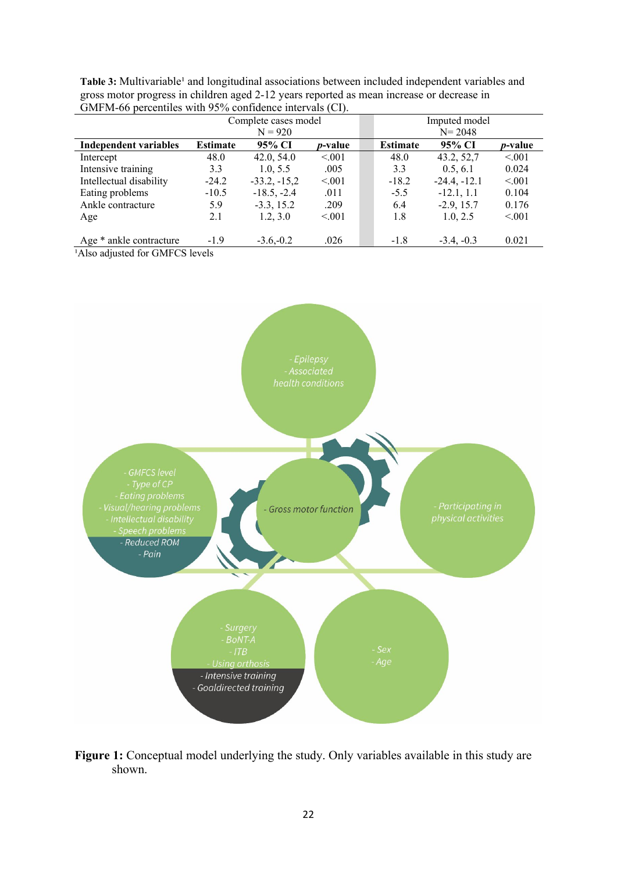| $\sum_{i=1}^{n} \sum_{i=1}^{n} \sum_{j=1}^{n} \sum_{i=1}^{n} \sum_{i=1}^{n} \sum_{j=1}^{n} \sum_{i=1}^{n} \sum_{j=1}^{n} \sum_{i=1}^{n} \sum_{j=1}^{n} \sum_{j=1}^{n} \sum_{i=1}^{n} \sum_{j=1}^{n} \sum_{i=1}^{n} \sum_{j=1}^{n} \sum_{j=1}^{n} \sum_{j=1}^{n} \sum_{j=1}^{n} \sum_{j=1}^{n} \sum_{j=1}^{n} \sum_{j=1}^{n} \sum_{j=1}^{n}$ |                      |                |                 |            |                 |                |                 |
|---------------------------------------------------------------------------------------------------------------------------------------------------------------------------------------------------------------------------------------------------------------------------------------------------------------------------------------------|----------------------|----------------|-----------------|------------|-----------------|----------------|-----------------|
|                                                                                                                                                                                                                                                                                                                                             | Complete cases model |                | Imputed model   |            |                 |                |                 |
|                                                                                                                                                                                                                                                                                                                                             | $N = 920$            |                |                 | $N = 2048$ |                 |                |                 |
| <b>Independent variables</b>                                                                                                                                                                                                                                                                                                                | <b>Estimate</b>      | 95% CI         | <i>p</i> -value |            | <b>Estimate</b> | 95% CI         | <i>p</i> -value |
| Intercept                                                                                                                                                                                                                                                                                                                                   | 48.0                 | 42.0, 54.0     | < 0.01          |            | 48.0            | 43.2, 52,7     | < 0.01          |
| Intensive training                                                                                                                                                                                                                                                                                                                          | 3.3                  | 1.0.5.5        | .005            |            | 3.3             | 0.5, 6.1       | 0.024           |
| Intellectual disability                                                                                                                                                                                                                                                                                                                     | $-24.2$              | $-33.2, -15.2$ | < 0.001         |            | $-18.2$         | $-24.4, -12.1$ | < 0.001         |
| Eating problems                                                                                                                                                                                                                                                                                                                             | $-10.5$              | $-18.5, -2.4$  | .011            |            | $-5.5$          | $-12.1, 1.1$   | 0.104           |
| Ankle contracture                                                                                                                                                                                                                                                                                                                           | 5.9                  | $-3.3, 15.2$   | .209            |            | 6.4             | $-2.9, 15.7$   | 0.176           |
| Age                                                                                                                                                                                                                                                                                                                                         | 2.1                  | 1.2, 3.0       | < 0.001         |            | 1.8             | 1.0, 2.5       | < 0.01          |
|                                                                                                                                                                                                                                                                                                                                             |                      |                |                 |            |                 |                |                 |
| Age * ankle contracture                                                                                                                                                                                                                                                                                                                     | $-1.9$               | $-3.6,-0.2$    | .026            |            | $-1.8$          | $-3.4, -0.3$   | 0.021           |

Table 3: Multivariable<sup>1</sup> and longitudinal associations between included independent variables and gross motor progress in children aged 2-12 years reported as mean increase or decrease in GMFM-66 percentiles with 95% confidence intervals (CI).

<sup>1</sup>Also adjusted for GMFCS levels